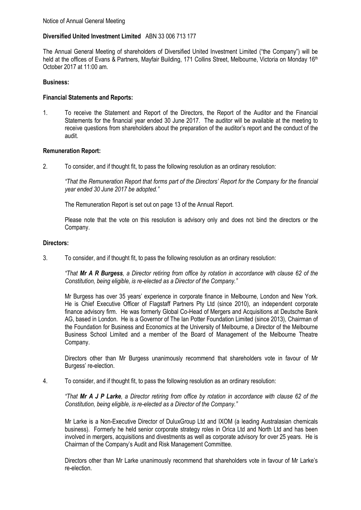# **Diversified United Investment Limited** ABN 33 006 713 177

The Annual General Meeting of shareholders of Diversified United Investment Limited ("the Company") will be held at the offices of Evans & Partners, Mayfair Building, 171 Collins Street, Melbourne, Victoria on Monday 16<sup>th</sup> October 2017 at 11:00 am.

# **Business:**

# **Financial Statements and Reports:**

1. To receive the Statement and Report of the Directors, the Report of the Auditor and the Financial Statements for the financial year ended 30 June 2017. The auditor will be available at the meeting to receive questions from shareholders about the preparation of the auditor's report and the conduct of the audit.

# **Remuneration Report:**

2. To consider, and if thought fit, to pass the following resolution as an ordinary resolution:

*"That the Remuneration Report that forms part of the Directors' Report for the Company for the financial year ended 30 June 2017 be adopted."*

The Remuneration Report is set out on page 13 of the Annual Report.

Please note that the vote on this resolution is advisory only and does not bind the directors or the Company.

# **Directors:**

3. To consider, and if thought fit, to pass the following resolution as an ordinary resolution:

*"That Mr A R Burgess, a Director retiring from office by rotation in accordance with clause 62 of the Constitution, being eligible, is re-elected as a Director of the Company."*

Mr Burgess has over 35 years' experience in corporate finance in Melbourne, London and New York. He is Chief Executive Officer of Flagstaff Partners Pty Ltd (since 2010), an independent corporate finance advisory firm. He was formerly Global Co-Head of Mergers and Acquisitions at Deutsche Bank AG, based in London. He is a Governor of The Ian Potter Foundation Limited (since 2013), Chairman of the Foundation for Business and Economics at the University of Melbourne, a Director of the Melbourne Business School Limited and a member of the Board of Management of the Melbourne Theatre Company.

Directors other than Mr Burgess unanimously recommend that shareholders vote in favour of Mr Burgess' re-election.

4. To consider, and if thought fit, to pass the following resolution as an ordinary resolution:

*"That Mr A J P Larke, a Director retiring from office by rotation in accordance with clause 62 of the Constitution, being eligible, is re-elected as a Director of the Company."*

Mr Larke is a Non-Executive Director of DuluxGroup Ltd and IXOM (a leading Australasian chemicals business). Formerly he held senior corporate strategy roles in Orica Ltd and North Ltd and has been involved in mergers, acquisitions and divestments as well as corporate advisory for over 25 years. He is Chairman of the Company's Audit and Risk Management Committee.

Directors other than Mr Larke unanimously recommend that shareholders vote in favour of Mr Larke's re-election.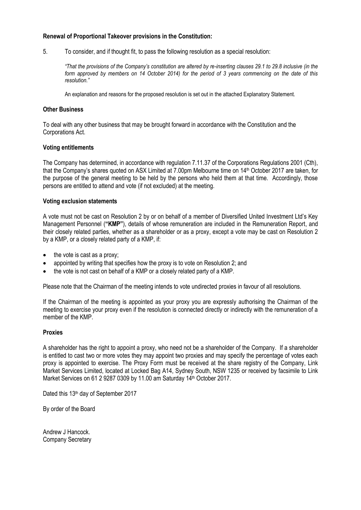# **Renewal of Proportional Takeover provisions in the Constitution:**

5. To consider, and if thought fit, to pass the following resolution as a special resolution:

*"That the provisions of the Company's constitution are altered by re-inserting clauses 29.1 to 29.8 inclusive (in the form approved by members on 14 October 2014) for the period of 3 years commencing on the date of this resolution."*

An explanation and reasons for the proposed resolution is set out in the attached Explanatory Statement.

# **Other Business**

To deal with any other business that may be brought forward in accordance with the Constitution and the Corporations Act.

# **Voting entitlements**

The Company has determined, in accordance with regulation 7.11.37 of the Corporations Regulations 2001 (Cth), that the Company's shares quoted on ASX Limited at 7.00pm Melbourne time on 14<sup>th</sup> October 2017 are taken, for the purpose of the general meeting to be held by the persons who held them at that time. Accordingly, those persons are entitled to attend and vote (if not excluded) at the meeting.

# **Voting exclusion statements**

A vote must not be cast on Resolution 2 by or on behalf of a member of Diversified United Investment Ltd's Key Management Personnel (**"KMP"**), details of whose remuneration are included in the Remuneration Report, and their closely related parties, whether as a shareholder or as a proxy, except a vote may be cast on Resolution 2 by a KMP, or a closely related party of a KMP, if:

- the vote is cast as a proxy;
- appointed by writing that specifies how the proxy is to vote on Resolution 2; and
- the vote is not cast on behalf of a KMP or a closely related party of a KMP.

Please note that the Chairman of the meeting intends to vote undirected proxies in favour of all resolutions.

If the Chairman of the meeting is appointed as your proxy you are expressly authorising the Chairman of the meeting to exercise your proxy even if the resolution is connected directly or indirectly with the remuneration of a member of the KMP.

# **Proxies**

A shareholder has the right to appoint a proxy, who need not be a shareholder of the Company. If a shareholder is entitled to cast two or more votes they may appoint two proxies and may specify the percentage of votes each proxy is appointed to exercise. The Proxy Form must be received at the share registry of the Company, Link Market Services Limited, located at Locked Bag A14, Sydney South, NSW 1235 or received by facsimile to Link Market Services on 61 2 9287 0309 by 11.00 am Saturday 14th October 2017.

Dated this 13<sup>th</sup> day of September 2017

By order of the Board

Andrew J Hancock. Company Secretary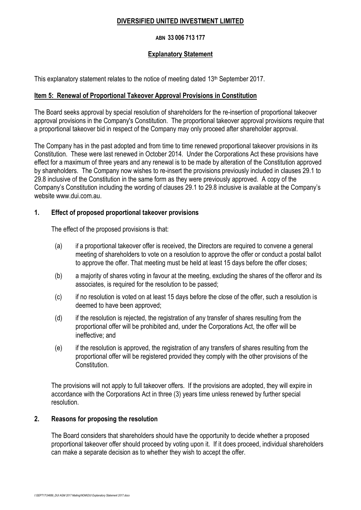# **DIVERSIFIED UNITED INVESTMENT LIMITED**

# **ABN 33 006 713 177**

# **Explanatory Statement**

This explanatory statement relates to the notice of meeting dated 13<sup>th</sup> September 2017.

# **Item 5: Renewal of Proportional Takeover Approval Provisions in Constitution**

The Board seeks approval by special resolution of shareholders for the re-insertion of proportional takeover approval provisions in the Company's Constitution. The proportional takeover approval provisions require that a proportional takeover bid in respect of the Company may only proceed after shareholder approval.

The Company has in the past adopted and from time to time renewed proportional takeover provisions in its Constitution. These were last renewed in October 2014. Under the Corporations Act these provisions have effect for a maximum of three years and any renewal is to be made by alteration of the Constitution approved by shareholders. The Company now wishes to re-insert the provisions previously included in clauses 29.1 to 29.8 inclusive of the Constitution in the same form as they were previously approved. A copy of the Company's Constitution including the wording of clauses 29.1 to 29.8 inclusive is available at the Company's website www.dui.com.au.

# **1. Effect of proposed proportional takeover provisions**

The effect of the proposed provisions is that:

- (a) if a proportional takeover offer is received, the Directors are required to convene a general meeting of shareholders to vote on a resolution to approve the offer or conduct a postal ballot to approve the offer. That meeting must be held at least 15 days before the offer closes;
- (b) a majority of shares voting in favour at the meeting, excluding the shares of the offeror and its associates, is required for the resolution to be passed;
- (c) if no resolution is voted on at least 15 days before the close of the offer, such a resolution is deemed to have been approved;
- (d) if the resolution is rejected, the registration of any transfer of shares resulting from the proportional offer will be prohibited and, under the Corporations Act, the offer will be ineffective; and
- (e) if the resolution is approved, the registration of any transfers of shares resulting from the proportional offer will be registered provided they comply with the other provisions of the Constitution.

The provisions will not apply to full takeover offers. If the provisions are adopted, they will expire in accordance with the Corporations Act in three (3) years time unless renewed by further special resolution.

# **2. Reasons for proposing the resolution**

The Board considers that shareholders should have the opportunity to decide whether a proposed proportional takeover offer should proceed by voting upon it. If it does proceed, individual shareholders can make a separate decision as to whether they wish to accept the offer.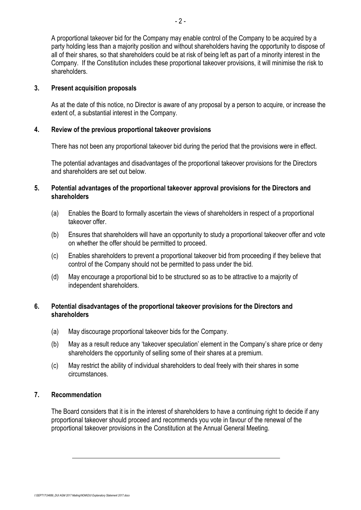A proportional takeover bid for the Company may enable control of the Company to be acquired by a party holding less than a majority position and without shareholders having the opportunity to dispose of all of their shares, so that shareholders could be at risk of being left as part of a minority interest in the Company. If the Constitution includes these proportional takeover provisions, it will minimise the risk to shareholders.

# **3. Present acquisition proposals**

As at the date of this notice, no Director is aware of any proposal by a person to acquire, or increase the extent of, a substantial interest in the Company.

# **4. Review of the previous proportional takeover provisions**

There has not been any proportional takeover bid during the period that the provisions were in effect.

The potential advantages and disadvantages of the proportional takeover provisions for the Directors and shareholders are set out below.

# **5. Potential advantages of the proportional takeover approval provisions for the Directors and shareholders**

- (a) Enables the Board to formally ascertain the views of shareholders in respect of a proportional takeover offer.
- (b) Ensures that shareholders will have an opportunity to study a proportional takeover offer and vote on whether the offer should be permitted to proceed.
- (c) Enables shareholders to prevent a proportional takeover bid from proceeding if they believe that control of the Company should not be permitted to pass under the bid.
- (d) May encourage a proportional bid to be structured so as to be attractive to a majority of independent shareholders.

# **6. Potential disadvantages of the proportional takeover provisions for the Directors and shareholders**

- (a) May discourage proportional takeover bids for the Company.
- (b) May as a result reduce any 'takeover speculation' element in the Company's share price or deny shareholders the opportunity of selling some of their shares at a premium.
- (c) May restrict the ability of individual shareholders to deal freely with their shares in some circumstances.

# **7. Recommendation**

The Board considers that it is in the interest of shareholders to have a continuing right to decide if any proportional takeover should proceed and recommends you vote in favour of the renewal of the proportional takeover provisions in the Constitution at the Annual General Meeting.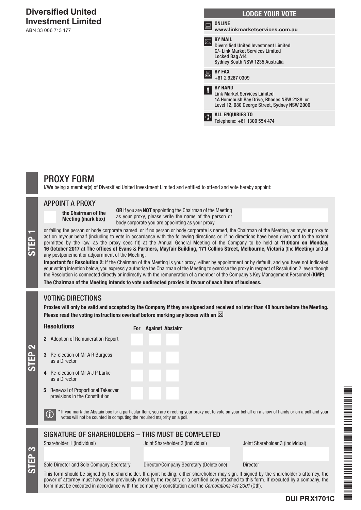# **Diversified United Investment Limited**

ABN 33 006 713 177

| <b>LODGE YOUR VOTE</b> |                                                                                                                                                         |
|------------------------|---------------------------------------------------------------------------------------------------------------------------------------------------------|
| m                      | <b>ONLINE</b><br>www.linkmarketservices.com.au                                                                                                          |
|                        | <b>BY MAIL</b><br><b>Diversified United Investment Limited</b><br>C/- Link Market Services Limited<br>Locked Bag A14<br>Sydney South NSW 1235 Australia |
|                        | <b>BY FAX</b><br>+61 2 9287 0309                                                                                                                        |
|                        | <b>BY HAND</b><br><b>Link Market Services Limited</b><br>1A Homebush Bay Drive, Rhodes NSW 2138; or<br>Level 12, 680 George Street, Sydney NSW 2000     |
|                        | <b>ALL ENQUIRIES TO</b><br>Telephone: +61 1300 554 474                                                                                                  |
|                        |                                                                                                                                                         |

# PROXY FORM

I/We being a member(s) of Diversified United Investment Limited and entitled to attend and vote hereby appoint:

### APPOINT A PROXY

the Chairman of the Meeting (mark box)

OR if you are NOT appointing the Chairman of the Meeting as your proxy, please write the name of the person or body corporate you are appointing as your proxy

or failing the person or body corporate named, or if no person or body corporate is named, the Chairman of the Meeting, as my/our proxy to act on my/our behalf (including to vote in accordance with the following directions act on my/our behalf (including to vote in accordance with the following directions or, if no directions have been given and to the extent permitted by the law, as the proxy sees fit) at the Annual General Meeting of the Company to be held at 11:00am on Monday, 16 October 2017 at The offices of Evans & Partners, Mayfair Building, 171 Collins Street, Melbourne, Victoria (the Meeting) and at any postponement or adjournment of the Meeting.

Important for Resolution 2: If the Chairman of the Meeting is your proxy, either by appointment or by default, and you have not indicated your voting intention below, you expressly authorise the Chairman of the Meeting to exercise the proxy in respect of Resolution 2, even though the Resolution is connected directly or indirectly with the remuneration of a member of the Company's Key Management Personnel (KMP).

The Chairman of the Meeting intends to vote undirected proxies in favour of each item of business.

For Against Abstain\*

# VOTING DIRECTIONS

Proxies will only be valid and accepted by the Company if they are signed and received no later than 48 hours before the Meeting. Please read the voting instructions overleaf before marking any boxes with an  $\boxtimes$ 

#### Resolutions

- 2 Adoption of Remuneration Report
- 3 Re-election of Mr A R Burgess as a Director
- 4 Re-election of Mr A J P Larke as a Director
- 5 Renewal of Proportional Takeover provisions in the Constitution

 $\bigcirc$  \* If you mark the Abstain box for a particular Item, you are directing your proxy not to vote on your behalf on a show of hands or on a poll and your votes will not be counted in computing the required majority on a

# SIGNATURE OF SHAREHOLDERS – THIS MUST BE COMPLETED

STEP 3

STEP 2

Shareholder 1 (Individual) Joint Shareholder 2 (Individual) Joint Shareholder 3 (Individual)

Sole Director and Sole Company Secretary Director/Company Secretary (Delete one) Director

This form should be signed by the shareholder. If a joint holding, either shareholder may sign. If signed by the shareholder's attorney, the power of attorney must have been previously noted by the registry or a certified copy attached to this form. If executed by a company, the form must be executed in accordance with the company's constitution and the *Corporations Act 2001* (Cth).